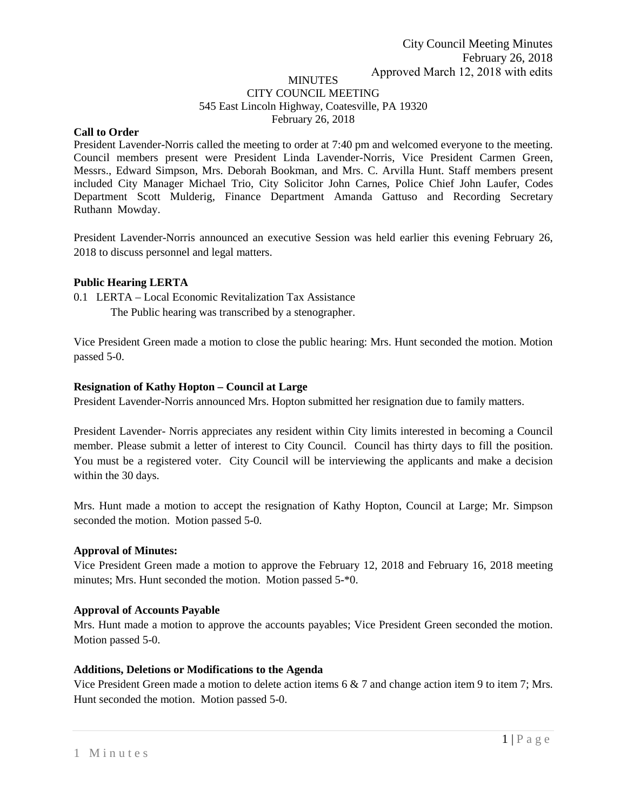#### **MINUTES** CITY COUNCIL MEETING 545 East Lincoln Highway, Coatesville, PA 19320 February 26, 2018

### **Call to Order**

President Lavender-Norris called the meeting to order at 7:40 pm and welcomed everyone to the meeting. Council members present were President Linda Lavender-Norris, Vice President Carmen Green, Messrs., Edward Simpson, Mrs. Deborah Bookman, and Mrs. C. Arvilla Hunt. Staff members present included City Manager Michael Trio, City Solicitor John Carnes, Police Chief John Laufer, Codes Department Scott Mulderig, Finance Department Amanda Gattuso and Recording Secretary Ruthann Mowday.

President Lavender-Norris announced an executive Session was held earlier this evening February 26, 2018 to discuss personnel and legal matters.

#### **Public Hearing LERTA**

0.1 LERTA – Local Economic Revitalization Tax Assistance

The Public hearing was transcribed by a stenographer.

Vice President Green made a motion to close the public hearing: Mrs. Hunt seconded the motion. Motion passed 5-0.

## **Resignation of Kathy Hopton – Council at Large**

President Lavender-Norris announced Mrs. Hopton submitted her resignation due to family matters.

President Lavender- Norris appreciates any resident within City limits interested in becoming a Council member. Please submit a letter of interest to City Council. Council has thirty days to fill the position. You must be a registered voter. City Council will be interviewing the applicants and make a decision within the 30 days.

Mrs. Hunt made a motion to accept the resignation of Kathy Hopton, Council at Large; Mr. Simpson seconded the motion. Motion passed 5-0.

#### **Approval of Minutes:**

Vice President Green made a motion to approve the February 12, 2018 and February 16, 2018 meeting minutes; Mrs. Hunt seconded the motion. Motion passed 5-\*0.

#### **Approval of Accounts Payable**

Mrs. Hunt made a motion to approve the accounts payables; Vice President Green seconded the motion. Motion passed 5-0.

#### **Additions, Deletions or Modifications to the Agenda**

Vice President Green made a motion to delete action items 6 & 7 and change action item 9 to item 7; Mrs. Hunt seconded the motion. Motion passed 5-0.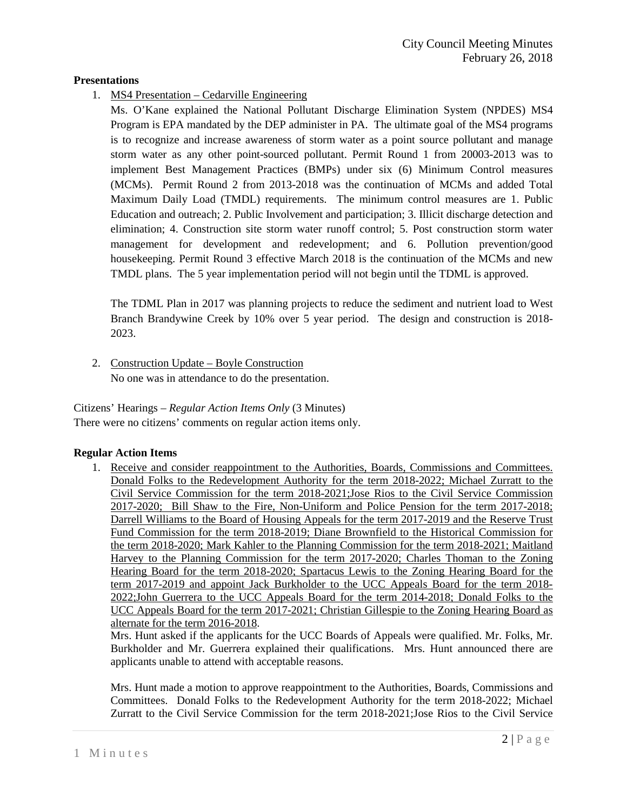## **Presentations**

1. MS4 Presentation – Cedarville Engineering

Ms. O'Kane explained the National Pollutant Discharge Elimination System (NPDES) MS4 Program is EPA mandated by the DEP administer in PA. The ultimate goal of the MS4 programs is to recognize and increase awareness of storm water as a point source pollutant and manage storm water as any other point-sourced pollutant. Permit Round 1 from 20003-2013 was to implement Best Management Practices (BMPs) under six (6) Minimum Control measures (MCMs). Permit Round 2 from 2013-2018 was the continuation of MCMs and added Total Maximum Daily Load (TMDL) requirements. The minimum control measures are 1. Public Education and outreach; 2. Public Involvement and participation; 3. Illicit discharge detection and elimination; 4. Construction site storm water runoff control; 5. Post construction storm water management for development and redevelopment; and 6. Pollution prevention/good housekeeping. Permit Round 3 effective March 2018 is the continuation of the MCMs and new TMDL plans. The 5 year implementation period will not begin until the TDML is approved.

The TDML Plan in 2017 was planning projects to reduce the sediment and nutrient load to West Branch Brandywine Creek by 10% over 5 year period. The design and construction is 2018- 2023.

2. Construction Update – Boyle Construction No one was in attendance to do the presentation.

Citizens' Hearings – *Regular Action Items Only* (3 Minutes) There were no citizens' comments on regular action items only.

#### **Regular Action Items**

1. Receive and consider reappointment to the Authorities, Boards, Commissions and Committees. Donald Folks to the Redevelopment Authority for the term 2018-2022; Michael Zurratt to the Civil Service Commission for the term 2018-2021;Jose Rios to the Civil Service Commission 2017-2020; Bill Shaw to the Fire, Non-Uniform and Police Pension for the term 2017-2018; Darrell Williams to the Board of Housing Appeals for the term 2017-2019 and the Reserve Trust Fund Commission for the term 2018-2019; Diane Brownfield to the Historical Commission for the term 2018-2020; Mark Kahler to the Planning Commission for the term 2018-2021; Maitland Harvey to the Planning Commission for the term 2017-2020; Charles Thoman to the Zoning Hearing Board for the term 2018-2020; Spartacus Lewis to the Zoning Hearing Board for the term 2017-2019 and appoint Jack Burkholder to the UCC Appeals Board for the term 2018- 2022;John Guerrera to the UCC Appeals Board for the term 2014-2018; Donald Folks to the UCC Appeals Board for the term 2017-2021; Christian Gillespie to the Zoning Hearing Board as alternate for the term 2016-2018.

Mrs. Hunt asked if the applicants for the UCC Boards of Appeals were qualified. Mr. Folks, Mr. Burkholder and Mr. Guerrera explained their qualifications. Mrs. Hunt announced there are applicants unable to attend with acceptable reasons.

Mrs. Hunt made a motion to approve reappointment to the Authorities, Boards, Commissions and Committees. Donald Folks to the Redevelopment Authority for the term 2018-2022; Michael Zurratt to the Civil Service Commission for the term 2018-2021;Jose Rios to the Civil Service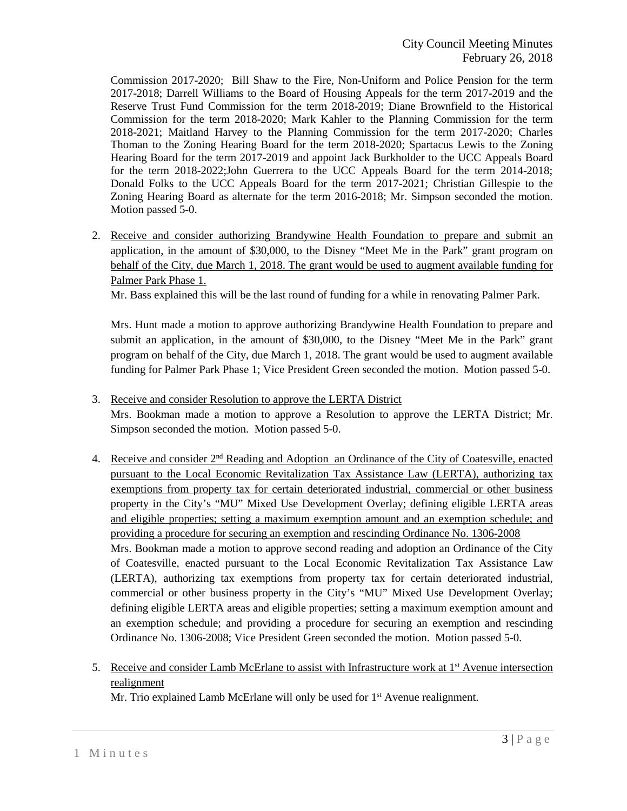Commission 2017-2020; Bill Shaw to the Fire, Non-Uniform and Police Pension for the term 2017-2018; Darrell Williams to the Board of Housing Appeals for the term 2017-2019 and the Reserve Trust Fund Commission for the term 2018-2019; Diane Brownfield to the Historical Commission for the term 2018-2020; Mark Kahler to the Planning Commission for the term 2018-2021; Maitland Harvey to the Planning Commission for the term 2017-2020; Charles Thoman to the Zoning Hearing Board for the term 2018-2020; Spartacus Lewis to the Zoning Hearing Board for the term 2017-2019 and appoint Jack Burkholder to the UCC Appeals Board for the term 2018-2022;John Guerrera to the UCC Appeals Board for the term 2014-2018; Donald Folks to the UCC Appeals Board for the term 2017-2021; Christian Gillespie to the Zoning Hearing Board as alternate for the term 2016-2018; Mr. Simpson seconded the motion. Motion passed 5-0.

2. Receive and consider authorizing Brandywine Health Foundation to prepare and submit an application, in the amount of \$30,000, to the Disney "Meet Me in the Park" grant program on behalf of the City, due March 1, 2018. The grant would be used to augment available funding for Palmer Park Phase 1.

Mr. Bass explained this will be the last round of funding for a while in renovating Palmer Park.

Mrs. Hunt made a motion to approve authorizing Brandywine Health Foundation to prepare and submit an application, in the amount of \$30,000, to the Disney "Meet Me in the Park" grant program on behalf of the City, due March 1, 2018. The grant would be used to augment available funding for Palmer Park Phase 1; Vice President Green seconded the motion. Motion passed 5-0.

- 3. Receive and consider Resolution to approve the LERTA District Mrs. Bookman made a motion to approve a Resolution to approve the LERTA District; Mr. Simpson seconded the motion. Motion passed 5-0.
- 4. Receive and consider  $2<sup>nd</sup>$  Reading and Adoption an Ordinance of the City of Coatesville, enacted pursuant to the Local Economic Revitalization Tax Assistance Law (LERTA), authorizing tax exemptions from property tax for certain deteriorated industrial, commercial or other business property in the City's "MU" Mixed Use Development Overlay; defining eligible LERTA areas and eligible properties; setting a maximum exemption amount and an exemption schedule; and providing a procedure for securing an exemption and rescinding Ordinance No. 1306-2008 Mrs. Bookman made a motion to approve second reading and adoption an Ordinance of the City of Coatesville, enacted pursuant to the Local Economic Revitalization Tax Assistance Law (LERTA), authorizing tax exemptions from property tax for certain deteriorated industrial, commercial or other business property in the City's "MU" Mixed Use Development Overlay; defining eligible LERTA areas and eligible properties; setting a maximum exemption amount and an exemption schedule; and providing a procedure for securing an exemption and rescinding Ordinance No. 1306-2008; Vice President Green seconded the motion. Motion passed 5-0.
- 5. Receive and consider Lamb McErlane to assist with Infrastructure work at  $1<sup>st</sup>$  Avenue intersection realignment

Mr. Trio explained Lamb McErlane will only be used for  $1<sup>st</sup>$  Avenue realignment.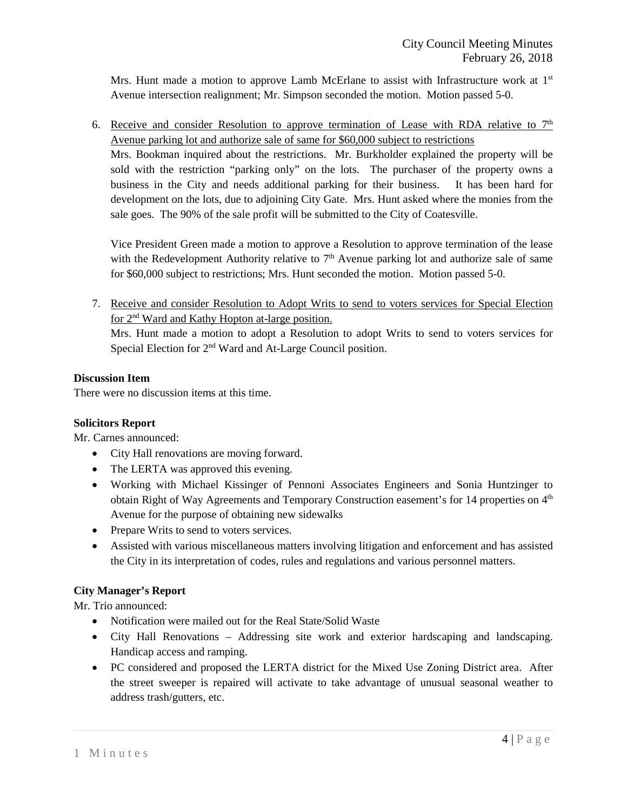Mrs. Hunt made a motion to approve Lamb McErlane to assist with Infrastructure work at  $1<sup>st</sup>$ Avenue intersection realignment; Mr. Simpson seconded the motion. Motion passed 5-0.

6. Receive and consider Resolution to approve termination of Lease with RDA relative to  $7<sup>th</sup>$ Avenue parking lot and authorize sale of same for \$60,000 subject to restrictions

Mrs. Bookman inquired about the restrictions. Mr. Burkholder explained the property will be sold with the restriction "parking only" on the lots. The purchaser of the property owns a business in the City and needs additional parking for their business. It has been hard for development on the lots, due to adjoining City Gate. Mrs. Hunt asked where the monies from the sale goes. The 90% of the sale profit will be submitted to the City of Coatesville.

Vice President Green made a motion to approve a Resolution to approve termination of the lease with the Redevelopment Authority relative to  $7<sup>th</sup>$  Avenue parking lot and authorize sale of same for \$60,000 subject to restrictions; Mrs. Hunt seconded the motion. Motion passed 5-0.

7. Receive and consider Resolution to Adopt Writs to send to voters services for Special Election for 2nd Ward and Kathy Hopton at-large position.

Mrs. Hunt made a motion to adopt a Resolution to adopt Writs to send to voters services for Special Election for 2<sup>nd</sup> Ward and At-Large Council position.

# **Discussion Item**

There were no discussion items at this time.

#### **Solicitors Report**

Mr. Carnes announced:

- City Hall renovations are moving forward.
- The LERTA was approved this evening.
- Working with Michael Kissinger of Pennoni Associates Engineers and Sonia Huntzinger to obtain Right of Way Agreements and Temporary Construction easement's for 14 properties on 4<sup>th</sup> Avenue for the purpose of obtaining new sidewalks
- Prepare Writs to send to voters services.
- Assisted with various miscellaneous matters involving litigation and enforcement and has assisted the City in its interpretation of codes, rules and regulations and various personnel matters.

#### **City Manager's Report**

Mr. Trio announced:

- Notification were mailed out for the Real State/Solid Waste
- City Hall Renovations Addressing site work and exterior hardscaping and landscaping. Handicap access and ramping.
- PC considered and proposed the LERTA district for the Mixed Use Zoning District area. After the street sweeper is repaired will activate to take advantage of unusual seasonal weather to address trash/gutters, etc.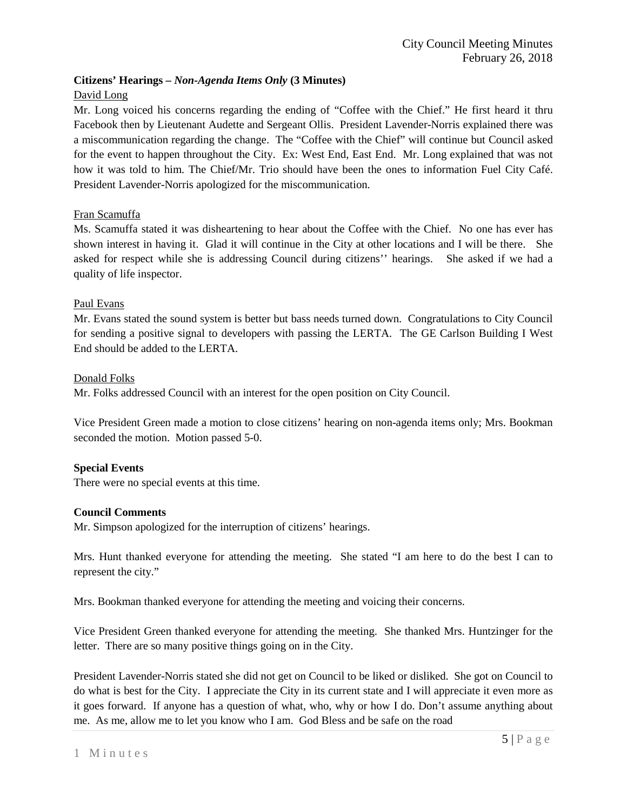# **Citizens' Hearings –** *Non-Agenda Items Only* **(3 Minutes)**

# David Long

Mr. Long voiced his concerns regarding the ending of "Coffee with the Chief." He first heard it thru Facebook then by Lieutenant Audette and Sergeant Ollis. President Lavender-Norris explained there was a miscommunication regarding the change. The "Coffee with the Chief" will continue but Council asked for the event to happen throughout the City. Ex: West End, East End. Mr. Long explained that was not how it was told to him. The Chief/Mr. Trio should have been the ones to information Fuel City Café. President Lavender-Norris apologized for the miscommunication.

# Fran Scamuffa

Ms. Scamuffa stated it was disheartening to hear about the Coffee with the Chief. No one has ever has shown interest in having it. Glad it will continue in the City at other locations and I will be there. She asked for respect while she is addressing Council during citizens'' hearings. She asked if we had a quality of life inspector.

## Paul Evans

Mr. Evans stated the sound system is better but bass needs turned down. Congratulations to City Council for sending a positive signal to developers with passing the LERTA. The GE Carlson Building I West End should be added to the LERTA.

#### Donald Folks

Mr. Folks addressed Council with an interest for the open position on City Council.

Vice President Green made a motion to close citizens' hearing on non-agenda items only; Mrs. Bookman seconded the motion. Motion passed 5-0.

#### **Special Events**

There were no special events at this time.

#### **Council Comments**

Mr. Simpson apologized for the interruption of citizens' hearings.

Mrs. Hunt thanked everyone for attending the meeting. She stated "I am here to do the best I can to represent the city."

Mrs. Bookman thanked everyone for attending the meeting and voicing their concerns.

Vice President Green thanked everyone for attending the meeting. She thanked Mrs. Huntzinger for the letter. There are so many positive things going on in the City.

President Lavender-Norris stated she did not get on Council to be liked or disliked. She got on Council to do what is best for the City. I appreciate the City in its current state and I will appreciate it even more as it goes forward. If anyone has a question of what, who, why or how I do. Don't assume anything about me. As me, allow me to let you know who I am. God Bless and be safe on the road